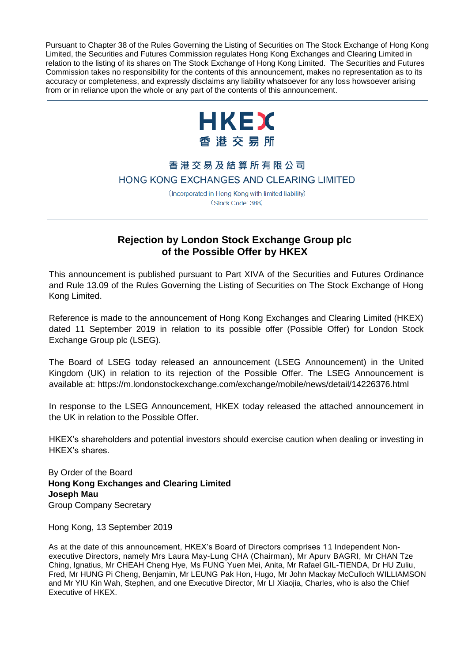Pursuant to Chapter 38 of the Rules Governing the Listing of Securities on The Stock Exchange of Hong Kong Limited, the Securities and Futures Commission regulates Hong Kong Exchanges and Clearing Limited in relation to the listing of its shares on The Stock Exchange of Hong Kong Limited. The Securities and Futures Commission takes no responsibility for the contents of this announcement, makes no representation as to its accuracy or completeness, and expressly disclaims any liability whatsoever for any loss howsoever arising from or in reliance upon the whole or any part of the contents of this announcement.



## 香港交易及結算所有限公司 HONG KONG EXCHANGES AND CLEARING LIMITED

(Incorporated in Hong Kong with limited liability) (Stock Code: 388)

## **Rejection by London Stock Exchange Group plc of the Possible Offer by HKEX**

This announcement is published pursuant to Part XIVA of the Securities and Futures Ordinance and Rule 13.09 of the Rules Governing the Listing of Securities on The Stock Exchange of Hong Kong Limited.

Reference is made to the announcement of Hong Kong Exchanges and Clearing Limited (HKEX) dated 11 September 2019 in relation to its possible offer (Possible Offer) for London Stock Exchange Group plc (LSEG).

The Board of LSEG today released an announcement (LSEG Announcement) in the United Kingdom (UK) in relation to its rejection of the Possible Offer. The LSEG Announcement is available at: https://m.londonstockexchange.com/exchange/mobile/news/detail/14226376.html

In response to the LSEG Announcement, HKEX today released the attached announcement in the UK in relation to the Possible Offer.

HKEX's shareholders and potential investors should exercise caution when dealing or investing in HKEX's shares.

By Order of the Board **Hong Kong Exchanges and Clearing Limited Joseph Mau** Group Company Secretary

Hong Kong, 13 September 2019

As at the date of this announcement, HKEX's Board of Directors comprises 11 Independent Nonexecutive Directors, namely Mrs Laura May-Lung CHA (Chairman), Mr Apurv BAGRI, Mr CHAN Tze Ching, Ignatius, Mr CHEAH Cheng Hye, Ms FUNG Yuen Mei, Anita, Mr Rafael GIL-TIENDA, Dr HU Zuliu, Fred, Mr HUNG Pi Cheng, Benjamin, Mr LEUNG Pak Hon, Hugo, Mr John Mackay McCulloch WILLIAMSON and Mr YIU Kin Wah, Stephen, and one Executive Director, Mr LI Xiaojia, Charles, who is also the Chief Executive of HKEX.